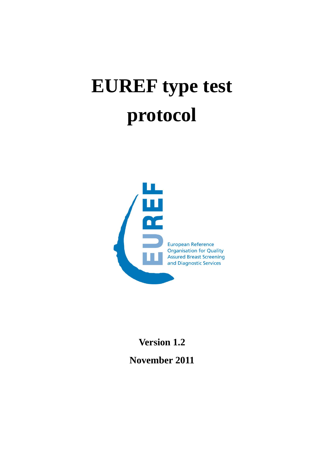# **EUREF type test protocol**



# **Version 1.2 November 2011**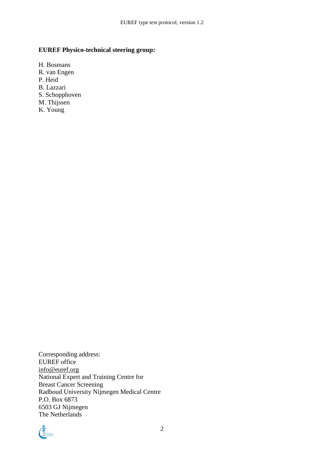#### **EUREF Physico-technical steering group:**

- H. Bosmans
- R. van Engen
- P. Heid
- B. Lazzari
- S. Schopphoven
- M. Thijssen
- K. Young

Corresponding address: EUREF office [info@euref.org](mailto:info@euref.org) National Expert and Training Centre for Breast Cancer Screening Radboud University Nijmegen Medical Centre P.O. Box 6873 6503 GJ Nijmegen The Netherlands

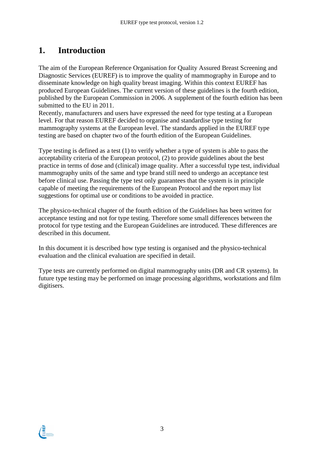## **1. Introduction**

The aim of the European Reference Organisation for Quality Assured Breast Screening and Diagnostic Services (EUREF) is to improve the quality of mammography in Europe and to disseminate knowledge on high quality breast imaging. Within this context EUREF has produced European Guidelines. The current version of these guidelines is the fourth edition, published by the European Commission in 2006. A supplement of the fourth edition has been submitted to the EU in 2011.

Recently, manufacturers and users have expressed the need for type testing at a European level. For that reason EUREF decided to organise and standardise type testing for mammography systems at the European level. The standards applied in the EUREF type testing are based on chapter two of the fourth edition of the European Guidelines.

Type testing is defined as a test (1) to verify whether a type of system is able to pass the acceptability criteria of the European protocol, (2) to provide guidelines about the best practice in terms of dose and (clinical) image quality. After a successful type test, individual mammography units of the same and type brand still need to undergo an acceptance test before clinical use. Passing the type test only guarantees that the system is in principle capable of meeting the requirements of the European Protocol and the report may list suggestions for optimal use or conditions to be avoided in practice.

The physico-technical chapter of the fourth edition of the Guidelines has been written for acceptance testing and not for type testing. Therefore some small differences between the protocol for type testing and the European Guidelines are introduced. These differences are described in this document.

In this document it is described how type testing is organised and the physico-technical evaluation and the clinical evaluation are specified in detail.

Type tests are currently performed on digital mammography units (DR and CR systems). In future type testing may be performed on image processing algorithms, workstations and film digitisers.

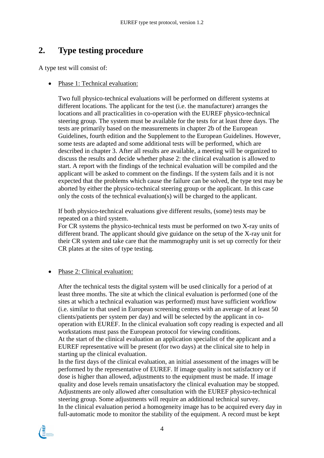## **2. Type testing procedure**

A type test will consist of:

#### • Phase 1: Technical evaluation:

Two full physico-technical evaluations will be performed on different systems at different locations. The applicant for the test (i.e. the manufacturer) arranges the locations and all practicalities in co-operation with the EUREF physico-technical steering group. The system must be available for the tests for at least three days. The tests are primarily based on the measurements in chapter 2b of the European Guidelines, fourth edition and the Supplement to the European Guidelines. However, some tests are adapted and some additional tests will be performed, which are described in chapter 3. After all results are available, a meeting will be organized to discuss the results and decide whether phase 2: the clinical evaluation is allowed to start. A report with the findings of the technical evaluation will be compiled and the applicant will be asked to comment on the findings. If the system fails and it is not expected that the problems which cause the failure can be solved, the type test may be aborted by either the physico-technical steering group or the applicant. In this case only the costs of the technical evaluation(s) will be charged to the applicant.

If both physico-technical evaluations give different results, (some) tests may be repeated on a third system.

For CR systems the physico-technical tests must be performed on two X-ray units of different brand. The applicant should give guidance on the setup of the X-ray unit for their CR system and take care that the mammography unit is set up correctly for their CR plates at the sites of type testing.

#### • Phase 2: Clinical evaluation:

After the technical tests the digital system will be used clinically for a period of at least three months. The site at which the clinical evaluation is performed (one of the sites at which a technical evaluation was performed) must have sufficient workflow (i.e. similar to that used in European screening centres with an average of at least 50 clients/patients per system per day) and will be selected by the applicant in cooperation with EUREF. In the clinical evaluation soft copy reading is expected and all workstations must pass the European protocol for viewing conditions. At the start of the clinical evaluation an application specialist of the applicant and a

EUREF representative will be present (for two days) at the clinical site to help in starting up the clinical evaluation.

In the first days of the clinical evaluation, an initial assessment of the images will be performed by the representative of EUREF. If image quality is not satisfactory or if dose is higher than allowed, adjustments to the equipment must be made. If image quality and dose levels remain unsatisfactory the clinical evaluation may be stopped. Adjustments are only allowed after consultation with the EUREF physico-technical steering group. Some adjustments will require an additional technical survey. In the clinical evaluation period a homogeneity image has to be acquired every day in full-automatic mode to monitor the stability of the equipment. A record must be kept

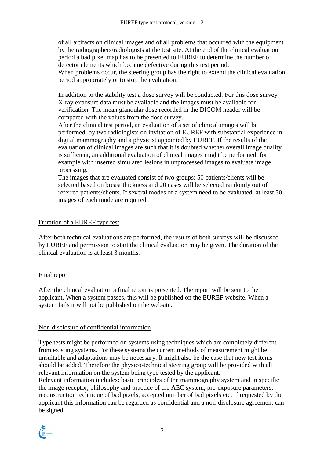of all artifacts on clinical images and of all problems that occurred with the equipment by the radiographers/radiologists at the test site. At the end of the clinical evaluation period a bad pixel map has to be presented to EUREF to determine the number of detector elements which became defective during this test period. When problems occur, the steering group has the right to extend the clinical evaluation period appropriately or to stop the evaluation.

In addition to the stability test a dose survey will be conducted. For this dose survey X-ray exposure data must be available and the images must be available for verification. The mean glandular dose recorded in the DICOM header will be compared with the values from the dose survey.

After the clinical test period, an evaluation of a set of clinical images will be performed, by two radiologists on invitation of EUREF with substantial experience in digital mammography and a physicist appointed by EUREF. If the results of the evaluation of clinical images are such that it is doubted whether overall image quality is sufficient, an additional evaluation of clinical images might be performed, for example with inserted simulated lesions in unprocessed images to evaluate image processing.

The images that are evaluated consist of two groups: 50 patients/clients will be selected based on breast thickness and 20 cases will be selected randomly out of referred patients/clients. If several modes of a system need to be evaluated, at least 30 images of each mode are required.

#### Duration of a EUREF type test

After both technical evaluations are performed, the results of both surveys will be discussed by EUREF and permission to start the clinical evaluation may be given. The duration of the clinical evaluation is at least 3 months.

#### Final report

After the clinical evaluation a final report is presented. The report will be sent to the applicant. When a system passes, this will be published on the EUREF website. When a system fails it will not be published on the website.

#### Non-disclosure of confidential information

Type tests might be performed on systems using techniques which are completely different from existing systems. For these systems the current methods of measurement might be unsuitable and adaptations may be necessary. It might also be the case that new test items should be added. Therefore the physico-technical steering group will be provided with all relevant information on the system being type tested by the applicant.

Relevant information includes: basic principles of the mammography system and in specific the image receptor, philosophy and practice of the AEC system, pre-exposure parameters, reconstruction technique of bad pixels, accepted number of bad pixels etc. If requested by the applicant this information can be regarded as confidential and a non-disclosure agreement can be signed.

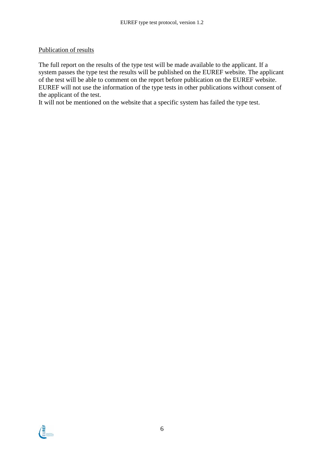#### Publication of results

The full report on the results of the type test will be made available to the applicant. If a system passes the type test the results will be published on the EUREF website. The applicant of the test will be able to comment on the report before publication on the EUREF website. EUREF will not use the information of the type tests in other publications without consent of the applicant of the test.

It will not be mentioned on the website that a specific system has failed the type test.

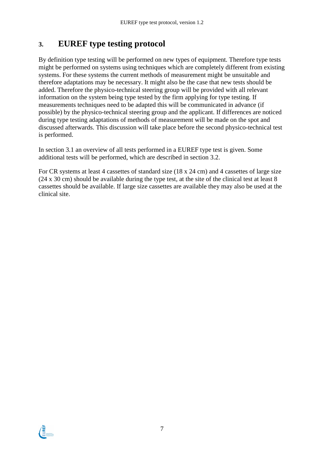### **3. EUREF type testing protocol**

By definition type testing will be performed on new types of equipment. Therefore type tests might be performed on systems using techniques which are completely different from existing systems. For these systems the current methods of measurement might be unsuitable and therefore adaptations may be necessary. It might also be the case that new tests should be added. Therefore the physico-technical steering group will be provided with all relevant information on the system being type tested by the firm applying for type testing. If measurements techniques need to be adapted this will be communicated in advance (if possible) by the physico-technical steering group and the applicant. If differences are noticed during type testing adaptations of methods of measurement will be made on the spot and discussed afterwards. This discussion will take place before the second physico-technical test is performed.

In section 3.1 an overview of all tests performed in a EUREF type test is given. Some additional tests will be performed, which are described in section 3.2.

For CR systems at least 4 cassettes of standard size (18 x 24 cm) and 4 cassettes of large size (24 x 30 cm) should be available during the type test, at the site of the clinical test at least 8 cassettes should be available. If large size cassettes are available they may also be used at the clinical site.

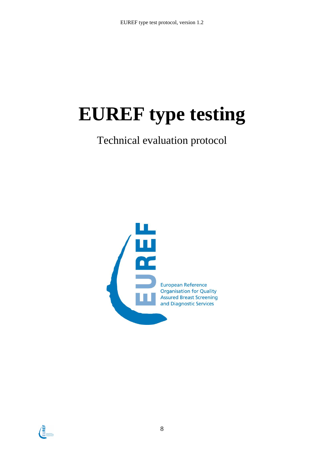# **EUREF type testing**

## Technical evaluation protocol



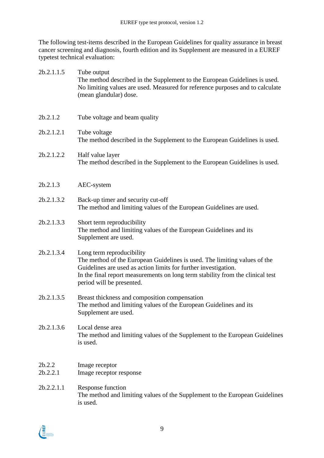The following test-items described in the European Guidelines for quality assurance in breast cancer screening and diagnosis, fourth edition and its Supplement are measured in a EUREF typetest technical evaluation:

| 2b.2.1.1.5         | Tube output<br>The method described in the Supplement to the European Guidelines is used.<br>No limiting values are used. Measured for reference purposes and to calculate<br>(mean glandular) dose.                                                                                     |
|--------------------|------------------------------------------------------------------------------------------------------------------------------------------------------------------------------------------------------------------------------------------------------------------------------------------|
| 2b.2.1.2           | Tube voltage and beam quality                                                                                                                                                                                                                                                            |
| 2b.2.1.2.1         | Tube voltage<br>The method described in the Supplement to the European Guidelines is used.                                                                                                                                                                                               |
| 2b.2.1.2.2         | Half value layer<br>The method described in the Supplement to the European Guidelines is used.                                                                                                                                                                                           |
| 2b.2.1.3           | AEC-system                                                                                                                                                                                                                                                                               |
| 2b.2.1.3.2         | Back-up timer and security cut-off<br>The method and limiting values of the European Guidelines are used.                                                                                                                                                                                |
| 2b.2.1.3.3         | Short term reproducibility<br>The method and limiting values of the European Guidelines and its<br>Supplement are used.                                                                                                                                                                  |
| 2b.2.1.3.4         | Long term reproducibility<br>The method of the European Guidelines is used. The limiting values of the<br>Guidelines are used as action limits for further investigation.<br>In the final report measurements on long term stability from the clinical test<br>period will be presented. |
| 2b.2.1.3.5         | Breast thickness and composition compensation<br>The method and limiting values of the European Guidelines and its<br>Supplement are used.                                                                                                                                               |
| 2b.2.1.3.6         | Local dense area<br>The method and limiting values of the Supplement to the European Guidelines<br>is used.                                                                                                                                                                              |
| 2b.2.2<br>2b.2.2.1 | Image receptor<br>Image receptor response                                                                                                                                                                                                                                                |
| 2b.2.2.1.1         | Response function<br>The method and limiting values of the Supplement to the European Guidelines<br>is used.                                                                                                                                                                             |

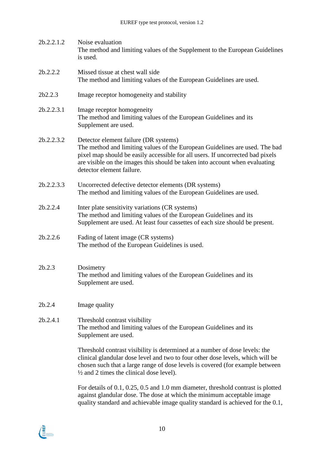- 2b.2.2.1.2 Noise evaluation The method and limiting values of the Supplement to the European Guidelines is used.
- 2b.2.2.2 Missed tissue at chest wall side The method and limiting values of the European Guidelines are used.
- 2b2.2.3 Image receptor homogeneity and stability
- 2b.2.2.3.1 Image receptor homogeneity The method and limiting values of the European Guidelines and its Supplement are used.
- 2b.2.2.3.2 Detector element failure (DR systems) The method and limiting values of the European Guidelines are used. The bad pixel map should be easily accessible for all users. If uncorrected bad pixels are visible on the images this should be taken into account when evaluating detector element failure.
- 2b.2.2.3.3 Uncorrected defective detector elements (DR systems) The method and limiting values of the European Guidelines are used.
- 2b.2.2.4 Inter plate sensitivity variations (CR systems) The method and limiting values of the European Guidelines and its Supplement are used. At least four cassettes of each size should be present.
- 2b.2.2.6 Fading of latent image (CR systems) The method of the European Guidelines is used.
- 2b.2.3 Dosimetry The method and limiting values of the European Guidelines and its Supplement are used.
- 2b.2.4 Image quality
- 2b.2.4.1 Threshold contrast visibility The method and limiting values of the European Guidelines and its Supplement are used.

Threshold contrast visibility is determined at a number of dose levels: the clinical glandular dose level and two to four other dose levels, which will be chosen such that a large range of dose levels is covered (for example between  $\frac{1}{2}$  and 2 times the clinical dose level).

For details of 0.1, 0.25, 0.5 and 1.0 mm diameter, threshold contrast is plotted against glandular dose. The dose at which the minimum acceptable image quality standard and achievable image quality standard is achieved for the 0.1,

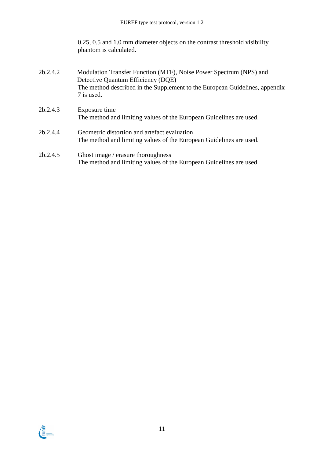0.25, 0.5 and 1.0 mm diameter objects on the contrast threshold visibility phantom is calculated.

2b.2.4.2 Modulation Transfer Function (MTF), Noise Power Spectrum (NPS) and Detective Quantum Efficiency (DQE) The method described in the Supplement to the European Guidelines, appendix 7 is used.

#### 2b.2.4.3 Exposure time The method and limiting values of the European Guidelines are used.

- 2b.2.4.4 Geometric distortion and artefact evaluation The method and limiting values of the European Guidelines are used.
- 2b.2.4.5 Ghost image / erasure thoroughness The method and limiting values of the European Guidelines are used.

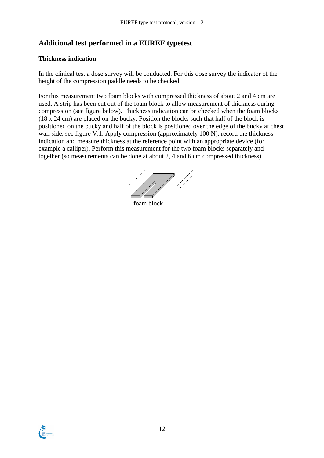### **Additional test performed in a EUREF typetest**

#### **Thickness indication**

In the clinical test a dose survey will be conducted. For this dose survey the indicator of the height of the compression paddle needs to be checked.

For this measurement two foam blocks with compressed thickness of about 2 and 4 cm are used. A strip has been cut out of the foam block to allow measurement of thickness during compression (see figure below). Thickness indication can be checked when the foam blocks (18 x 24 cm) are placed on the bucky. Position the blocks such that half of the block is positioned on the bucky and half of the block is positioned over the edge of the bucky at chest wall side, see figure V.1. Apply compression (approximately 100 N), record the thickness indication and measure thickness at the reference point with an appropriate device (for example a calliper). Perform this measurement for the two foam blocks separately and together (so measurements can be done at about 2, 4 and 6 cm compressed thickness).

 $\mathbb{Z}$ 

foam block

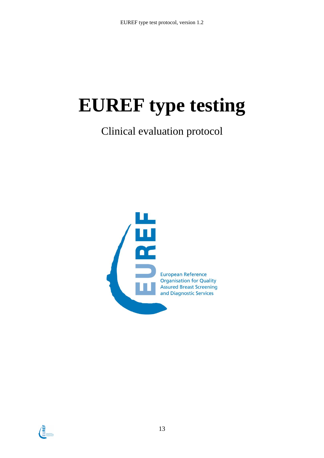# **EUREF type testing**

## Clinical evaluation protocol



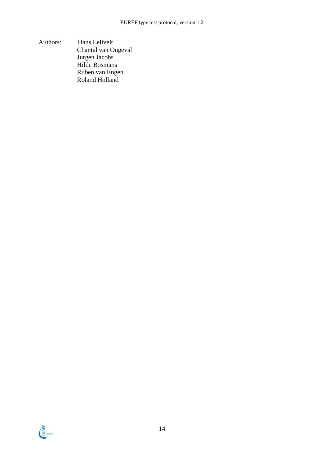Authors: Hans Lelivelt Chantal van Ongeval Jurgen Jacobs Hilde Bosmans Ruben van Engen Roland Holland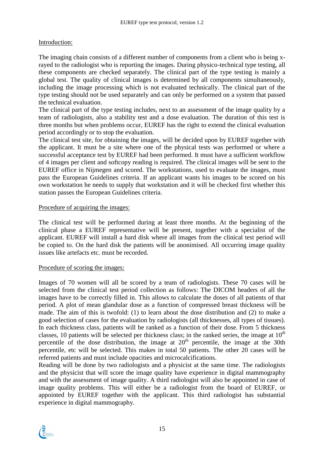#### Introduction:

The imaging chain consists of a different number of components from a client who is being xrayed to the radiologist who is reporting the images. During physico-technical type testing, all these components are checked separately. The clinical part of the type testing is mainly a global test. The quality of clinical images is determined by all components simultaneously, including the image processing which is not evaluated technically. The clinical part of the type testing should not be used separately and can only be performed on a system that passed the technical evaluation.

The clinical part of the type testing includes, next to an assessment of the image quality by a team of radiologists, also a stability test and a dose evaluation. The duration of this test is three months but when problems occur, EUREF has the right to extend the clinical evaluation period accordingly or to stop the evaluation.

The clinical test site, for obtaining the images, will be decided upon by EUREF together with the applicant. It must be a site where one of the physical tests was performed or where a successful acceptance test by EUREF had been performed. It must have a sufficient workflow of 4 images per client and softcopy reading is required. The clinical images will be sent to the EUREF office in Nijmegen and scored. The workstations, used to evaluate the images, must pass the European Guidelines criteria. If an applicant wants his images to be scored on his own workstation he needs to supply that workstation and it will be checked first whether this station passes the European Guidelines criteria.

#### Procedure of acquiring the images:

The clinical test will be performed during at least three months. At the beginning of the clinical phase a EUREF representative will be present, together with a specialist of the applicant. EUREF will install a hard disk where all images from the clinical test period will be copied to. On the hard disk the patients will be anonimised. All occurring image quality issues like artefacts etc. must be recorded.

#### Procedure of scoring the images:

Images of 70 women will all be scored by a team of radiologists. These 70 cases will be selected from the clinical test period collection as follows: The DICOM headers of all the images have to be correctly filled in. This allows to calculate the doses of all patients of that period. A plot of mean glandular dose as a function of compressed breast thickness will be made. The aim of this is twofold: (1) to learn about the dose distribution and (2) to make a good selection of cases for the evaluation by radiologists (all thicknesses, all types of tissues). In each thickness class, patients will be ranked as a function of their dose. From 5 thickness classes, 10 patients will be selected per thickness class; in the ranked series, the image at  $10<sup>th</sup>$ percentile of the dose distribution, the image at  $20<sup>th</sup>$  percentile, the image at the 30th percentile, etc will be selected. This makes in total 50 patients. The other 20 cases will be referred patients and must include opacities and microcalcifications.

Reading will be done by two radiologists and a physicist at the same time. The radiologists and the physicist that will score the image quality have experience in digital mammography and with the assessment of image quality. A third radiologist will also be appointed in case of image quality problems. This will either be a radiologist from the board of EUREF, or appointed by EUREF together with the applicant. This third radiologist has substantial experience in digital mammography.

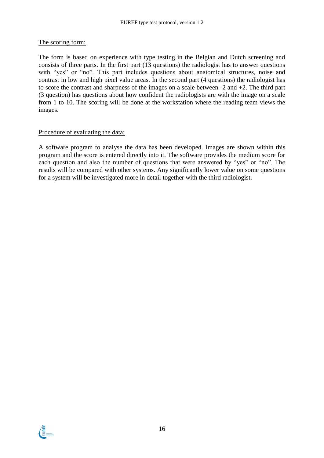#### The scoring form:

The form is based on experience with type testing in the Belgian and Dutch screening and consists of three parts. In the first part (13 questions) the radiologist has to answer questions with "yes" or "no". This part includes questions about anatomical structures, noise and contrast in low and high pixel value areas. In the second part (4 questions) the radiologist has to score the contrast and sharpness of the images on a scale between -2 and +2. The third part (3 question) has questions about how confident the radiologists are with the image on a scale from 1 to 10. The scoring will be done at the workstation where the reading team views the images.

#### Procedure of evaluating the data:

A software program to analyse the data has been developed. Images are shown within this program and the score is entered directly into it. The software provides the medium score for each question and also the number of questions that were answered by "yes" or "no". The results will be compared with other systems. Any significantly lower value on some questions for a system will be investigated more in detail together with the third radiologist.

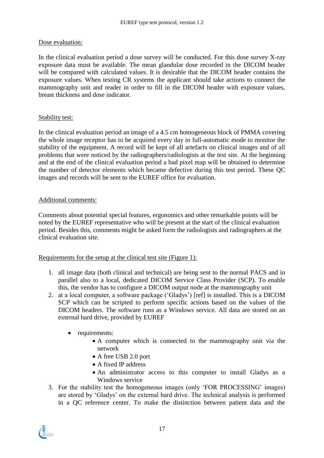#### Dose evaluation:

In the clinical evaluation period a dose survey will be conducted. For this dose survey X-ray exposure data must be available. The mean glandular dose recorded in the DICOM header will be compared with calculated values. It is desirable that the DICOM header contains the exposure values. When testing CR systems the applicant should take actions to connect the mammography unit and reader in order to fill in the DICOM header with exposure values, breast thickness and dose indicator.

#### Stability test:

In the clinical evaluation period an image of a 4.5 cm homogeneous block of PMMA covering the whole image receptor has to be acquired every day in full-automatic mode to monitor the stability of the equipment. A record will be kept of all artefacts on clinical images and of all problems that were noticed by the radiographers/radiologists at the test site. At the beginning and at the end of the clinical evaluation period a bad pixel map will be obtained to determine the number of detector elements which became defective during this test period. These QC images and records will be sent to the EUREF office for evaluation.

#### Additional comments:

Comments about potential special features, ergonomics and other remarkable points will be noted by the EUREF representative who will be present at the start of the clinical evaluation period. Besides this, comments might be asked form the radiologists and radiographers at the clinical evaluation site.

#### Requirements for the setup at the clinical test site (Figure 1):

- 1. all image data (both clinical and technical) are being sent to the normal PACS and in parallel also to a local, dedicated DICOM Service Class Provider (SCP). To enable this, the vendor has to configure a DICOM output node at the mammography unit
- 2. at a local computer, a software package ("Gladys") [ref] is installed. This is a DICOM SCP which can be scripted to perform specific actions based on the values of the DICOM headers. The software runs as a Windows service. All data are stored on an external hard drive, provided by EUREF
	- requirements:
		- A computer which is connected to the mammography unit via the network
		- A free USB 2.0 port
		- A fixed IP address
		- An administrator access to this computer to install Gladys as a Windows service
- 3. For the stability test the homogeneous images (only "FOR PROCESSING" images) are stored by "Gladys" on the external hard drive. The technical analysis is performed in a QC reference center. To make the distinction between patient data and the

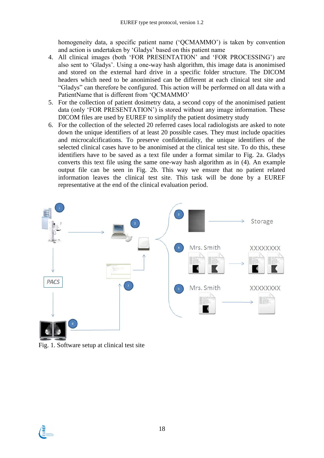homogeneity data, a specific patient name ('QCMAMMO') is taken by convention and action is undertaken by "Gladys" based on this patient name

- 4. All clinical images (both "FOR PRESENTATION" and "FOR PROCESSING") are also sent to "Gladys". Using a one-way hash algorithm, this image data is anonimised and stored on the external hard drive in a specific folder structure. The DICOM headers which need to be anonimised can be different at each clinical test site and "Gladys" can therefore be configured. This action will be performed on all data with a PatientName that is different from 'QCMAMMO'
- 5. For the collection of patient dosimetry data, a second copy of the anonimised patient data (only "FOR PRESENTATION") is stored without any image information. These DICOM files are used by EUREF to simplify the patient dosimetry study
- 6. For the collection of the selected 20 referred cases local radiologists are asked to note down the unique identifiers of at least 20 possible cases. They must include opacities and microcalcifications. To preserve confidentiality, the unique identifiers of the selected clinical cases have to be anonimised at the clinical test site. To do this, these identifiers have to be saved as a text file under a format similar to Fig. 2a. Gladys converts this text file using the same one-way hash algorithm as in (4). An example output file can be seen in Fig. 2b. This way we ensure that no patient related information leaves the clinical test site. This task will be done by a EUREF representative at the end of the clinical evaluation period.



Fig. 1. Software setup at clinical test site

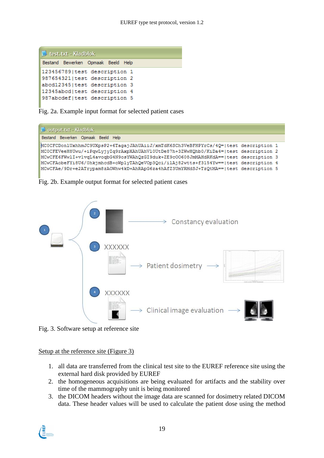| test.txt - Kladblok                |
|------------------------------------|
| Bestand Bewerken Opmaak Beeld Help |
| 123456789   test description 1     |
| 987654321   test description 2     |
| abcd12345   test description 3     |
| 12345abcd test description 4       |
| 987abcdef test description 5       |
|                                    |

Fig. 2a. Example input format for selected patient cases



Fig. 2b. Example output format for selected patient cases



Fig. 3. Software setup at reference site

Setup at the reference site (Figure 3)

- 1. all data are transferred from the clinical test site to the EUREF reference site using the external hard disk provided by EUREF
- 2. the homogeneous acquisitions are being evaluated for artifacts and the stability over time of the mammography unit is being monitored
- 3. the DICOM headers without the image data are scanned for dosimetry related DICOM data. These header values will be used to calculate the patient dose using the method

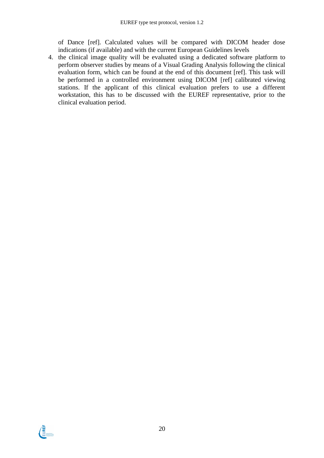of Dance [ref]. Calculated values will be compared with DICOM header dose indications (if available) and with the current European Guidelines levels

4. the clinical image quality will be evaluated using a dedicated software platform to perform observer studies by means of a Visual Grading Analysis following the clinical evaluation form, which can be found at the end of this document [ref]. This task will be performed in a controlled environment using DICOM [ref] calibrated viewing stations. If the applicant of this clinical evaluation prefers to use a different workstation, this has to be discussed with the EUREF representative, prior to the clinical evaluation period.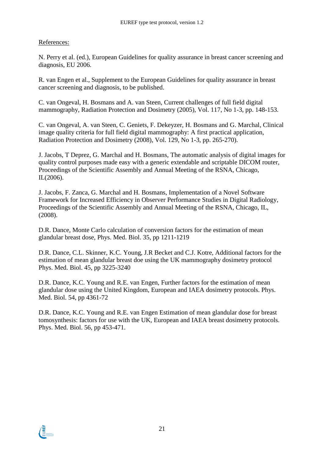#### References:

N. Perry et al. (ed.), European Guidelines for quality assurance in breast cancer screening and diagnosis, EU 2006.

R. van Engen et al., Supplement to the European Guidelines for quality assurance in breast cancer screening and diagnosis, to be published.

C. van Ongeval, H. Bosmans and A. van Steen, Current challenges of full field digital mammography, Radiation Protection and Dosimetry (2005), Vol. 117, No 1-3, pp. 148-153.

C. van Ongeval, A. van Steen, C. Geniets, F. Dekeyzer, H. Bosmans and G. Marchal, Clinical image quality criteria for full field digital mammography: A first practical application, Radiation Protection and Dosimetry (2008), Vol. 129, No 1-3, pp. 265-270).

J. Jacobs, T Deprez, G. Marchal and H. Bosmans, The automatic analysis of digital images for quality control purposes made easy with a generic extendable and scriptable DICOM router, Proceedings of the Scientific Assembly and Annual Meeting of the RSNA, Chicago, IL(2006).

J. Jacobs, F. Zanca, G. Marchal and H. Bosmans, Implementation of a Novel Software Framework for Increased Efficiency in Observer Performance Studies in Digital Radiology, Proceedings of the Scientific Assembly and Annual Meeting of the RSNA, Chicago, IL, (2008).

D.R. Dance, Monte Carlo calculation of conversion factors for the estimation of mean glandular breast dose, Phys. Med. Biol. 35, pp 1211-1219

D.R. Dance, C.L. Skinner, K.C. Young, J.R Becket and C.J. Kotre, Additional factors for the estimation of mean glandular breast doe using the UK mammography dosimetry protocol Phys. Med. Biol. 45, pp 3225-3240

D.R. Dance, K.C. Young and R.E. van Engen, Further factors for the estimation of mean glandular dose using the United Kingdom, European and IAEA dosimetry protocols. Phys. Med. Biol. 54, pp 4361-72

D.R. Dance, K.C. Young and R.E. van Engen Estimation of mean glandular dose for breast tomosynthesis: factors for use with the UK, European and IAEA breast dosimetry protocols. Phys. Med. Biol. 56, pp 453-471.

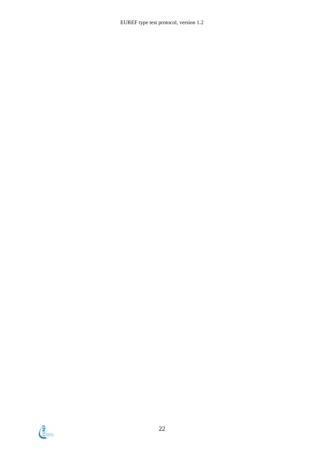EUREF type test protocol, version 1.2

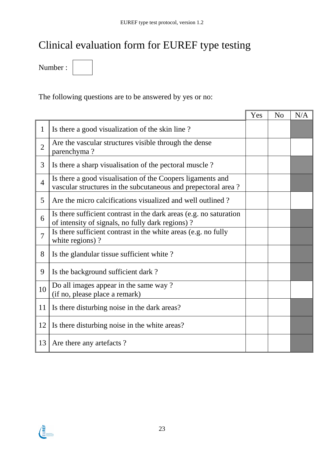## Clinical evaluation form for EUREF type testing

Number :

The following questions are to be answered by yes or no:

|                |                                                                                                                             | Yes | N <sub>o</sub> | N/A |
|----------------|-----------------------------------------------------------------------------------------------------------------------------|-----|----------------|-----|
| $\mathbf{1}$   | Is there a good visualization of the skin line?                                                                             |     |                |     |
| $\overline{2}$ | Are the vascular structures visible through the dense<br>parenchyma?                                                        |     |                |     |
| 3              | Is there a sharp visualisation of the pectoral muscle?                                                                      |     |                |     |
| $\overline{4}$ | Is there a good visualisation of the Coopers ligaments and<br>vascular structures in the subcutaneous and prepectoral area? |     |                |     |
| 5              | Are the micro calcifications visualized and well outlined?                                                                  |     |                |     |
| 6              | Is there sufficient contrast in the dark areas (e.g. no saturation<br>of intensity of signals, no fully dark regions)?      |     |                |     |
| $\overline{7}$ | Is there sufficient contrast in the white areas (e.g. no fully<br>white regions)?                                           |     |                |     |
| 8              | Is the glandular tissue sufficient white?                                                                                   |     |                |     |
| 9              | Is the background sufficient dark?                                                                                          |     |                |     |
| 10             | Do all images appear in the same way?<br>(if no, please place a remark)                                                     |     |                |     |
| 11             | Is there disturbing noise in the dark areas?                                                                                |     |                |     |
| 12             | Is there disturbing noise in the white areas?                                                                               |     |                |     |
| 13             | Are there any artefacts?                                                                                                    |     |                |     |